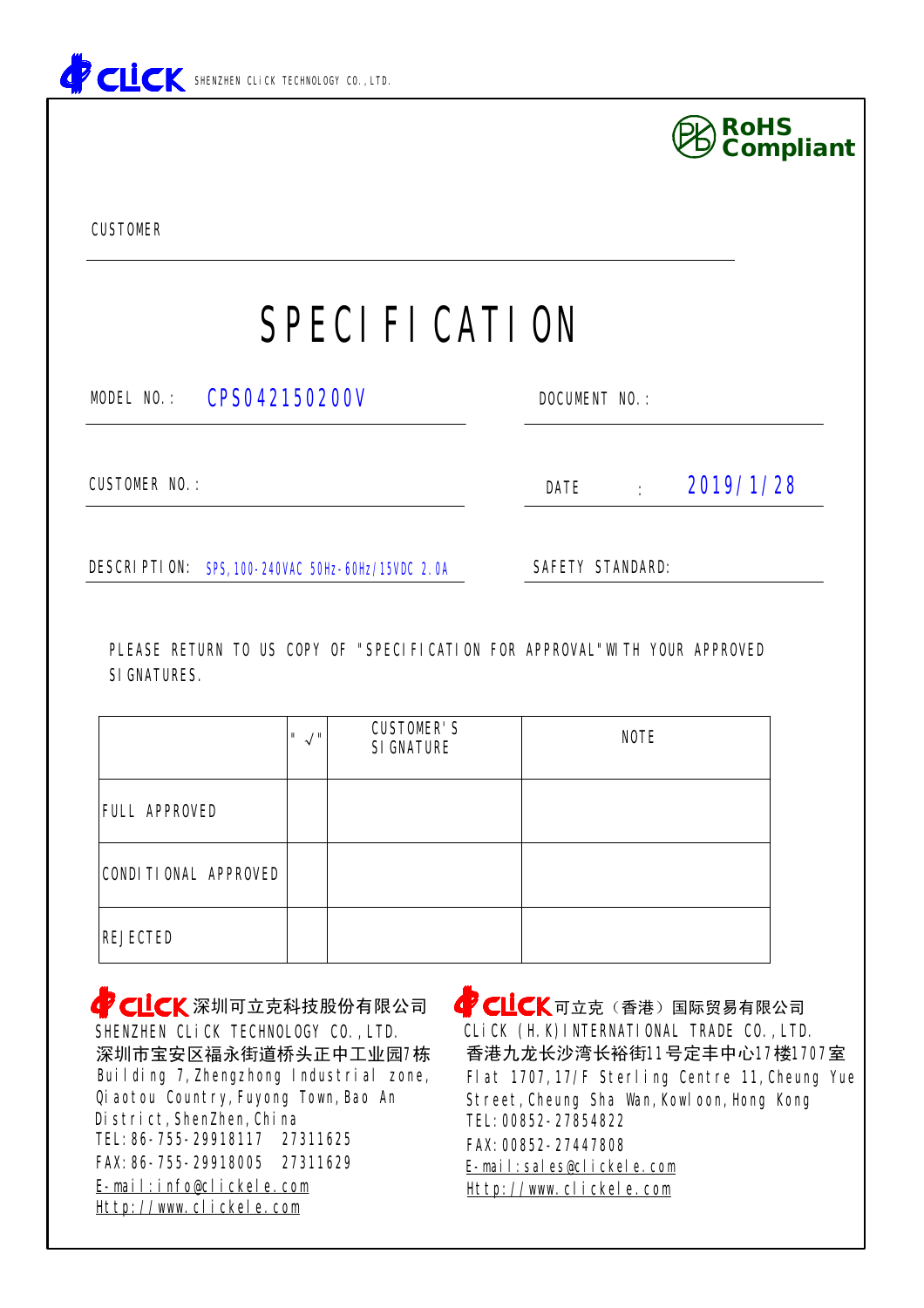



|                             | $\mathbf{u} \wedge \mathbf{u}$ | <b>CUSTOMER'S</b><br><b>SIGNATURE</b> | <b>NOTE</b> |
|-----------------------------|--------------------------------|---------------------------------------|-------------|
| <b>FULL APPROVED</b>        |                                |                                       |             |
| <b>CONDITIONAL APPROVED</b> |                                |                                       |             |
| <b>REJECTED</b>             |                                |                                       |             |

[Http://www.clickele.com](http://www.clickele.com) FAX:86-755-29918005 27311629 SHENZHEN CLICK TECHNOLOGY CO., LTD. District,ShenZhen,China Building 7,Zhengzhong Industrial zone, 深圳市宝安区福永街道桥头正中工业园7栋 **CLICK**深圳可立克科技股份有限公司 TEL:86-755-29918117 27311625 [E-mail:info@clickele.com](mailto:E-mail:info@clickele.com) Qiaotou Country,Fuyong Town,Bao An

**CLICK**可立克(香港)国际贸易有限公司 FAX:00852-27447808 [Http://www.clickele.com](http://www.clickele.com) [E-mail:sales@clickele.com](mailto:E-mail:sales@clickele.com) TEL:00852-27854822 香港九龙长沙湾长裕街11号定丰中心17楼1707室 Street,Cheung Sha Wan,Kowloon,Hong Kong Flat 1707,17/F Sterling Centre 11,Cheung Yue CLiCK (H.K)INTERNATIONAL TRADE CO.,LTD.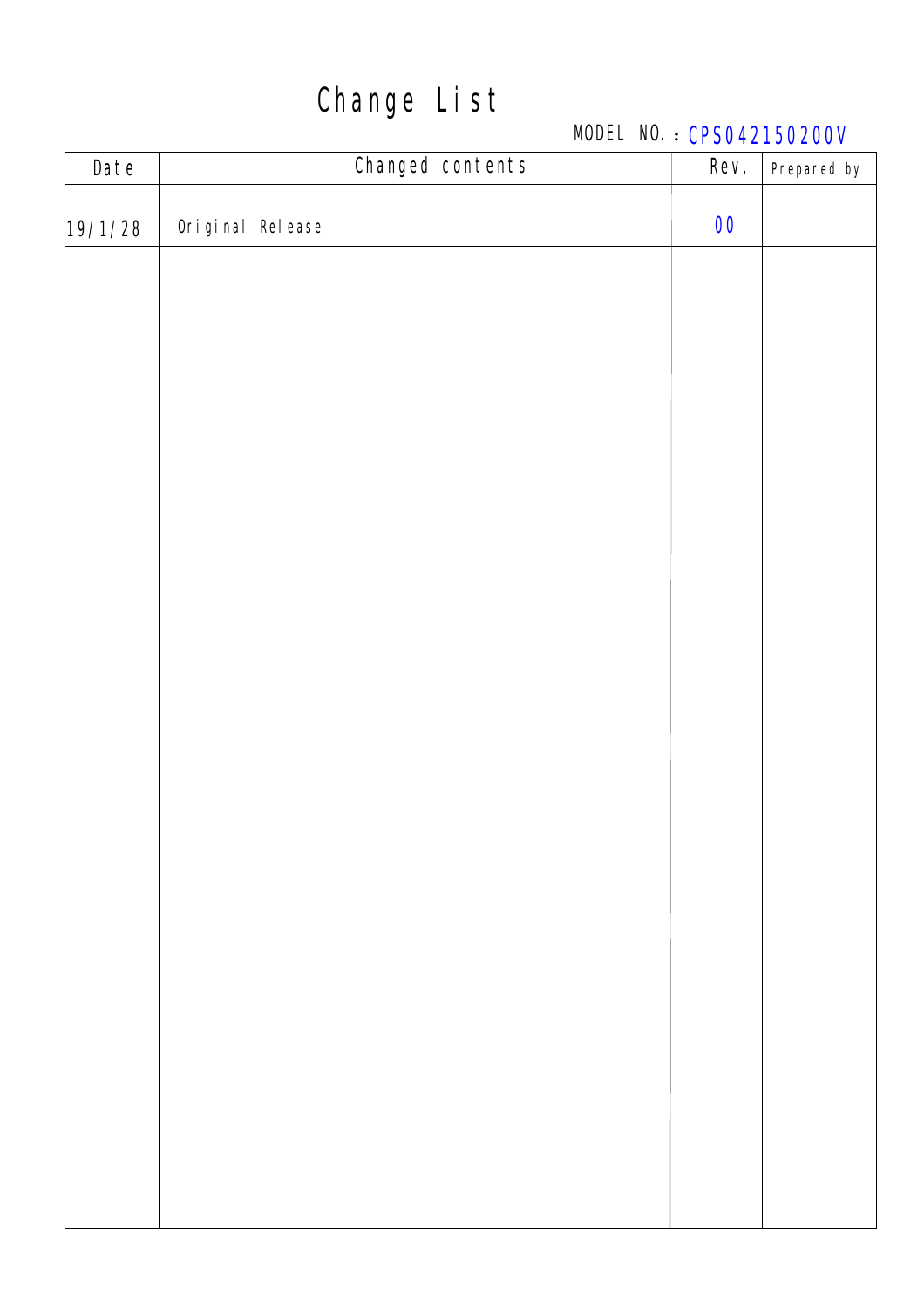## Change List

### MODEL NO.: CPS042150200V

| <b>Date</b> | <b>Changed contents</b> | Rev.              | Prepared by |
|-------------|-------------------------|-------------------|-------------|
| 19/1/28     | Original Release        | $\boldsymbol{00}$ |             |
|             |                         |                   |             |
|             |                         |                   |             |
|             |                         |                   |             |
|             |                         |                   |             |
|             |                         |                   |             |
|             |                         |                   |             |
|             |                         |                   |             |
|             |                         |                   |             |
|             |                         |                   |             |
|             |                         |                   |             |
|             |                         |                   |             |
|             |                         |                   |             |
|             |                         |                   |             |
|             |                         |                   |             |
|             |                         |                   |             |
|             |                         |                   |             |
|             |                         |                   |             |
|             |                         |                   |             |
|             |                         |                   |             |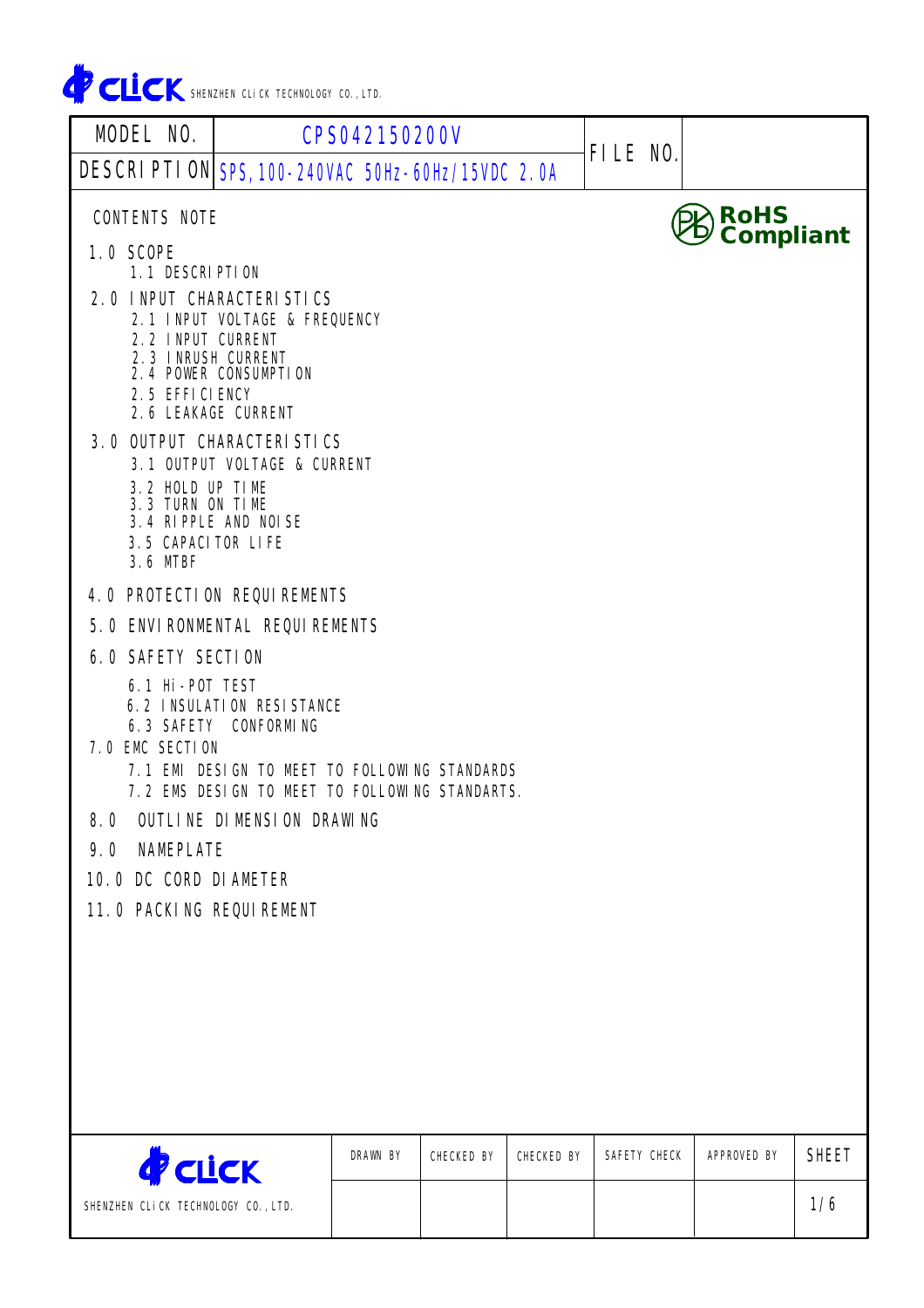

| <b>MODEL NO.</b>                                                                                                                          | <b>CPS042150200V</b>                                                                                                     |                 |                   |                   |                 |                    |              |
|-------------------------------------------------------------------------------------------------------------------------------------------|--------------------------------------------------------------------------------------------------------------------------|-----------------|-------------------|-------------------|-----------------|--------------------|--------------|
| DESCRIPTION SPS, 100-240VAC 50Hz-60Hz/15VDC 2.0A                                                                                          |                                                                                                                          |                 |                   |                   | <b>FILE NO.</b> |                    |              |
| <b>CONTENTS NOTE</b><br><b>1.0 SCOPE</b>                                                                                                  |                                                                                                                          |                 |                   |                   |                 | RoHS<br>Compliant  |              |
| <b>1.1 DESCRIPTION</b>                                                                                                                    |                                                                                                                          |                 |                   |                   |                 |                    |              |
| <b>2.0 INPUT CHARACTERISTICS</b><br><b>2.2 INPUT CURRENT</b><br><b>2.3 INRUSH CURRENT</b><br>2.5 EFFICIENCY<br><b>2.6 LEAKAGE CURRENT</b> | <b>2.1 INPUT VOLTAGE &amp; FREQUENCY</b><br>2.4 POWER CONSUMPTION                                                        |                 |                   |                   |                 |                    |              |
| <b>3.0 OUTPUT CHARACTERISTICS</b>                                                                                                         |                                                                                                                          |                 |                   |                   |                 |                    |              |
| 3.2 HOLD UP TIME<br>3.3 TURN ON TIME<br><b>3.5 CAPACITOR LIFE</b><br>3.6 MTBF                                                             | <b>3.1 OUTPUT VOLTAGE &amp; CURRENT</b><br><b>3.4 RIPPLE AND NOISE</b>                                                   |                 |                   |                   |                 |                    |              |
| <b>4.0 PROTECTION REQUIREMENTS</b>                                                                                                        |                                                                                                                          |                 |                   |                   |                 |                    |              |
| <b>5.0 ENVIRONMENTAL REQUIREMENTS</b>                                                                                                     |                                                                                                                          |                 |                   |                   |                 |                    |              |
| <b>6.0 SAFETY SECTION</b>                                                                                                                 |                                                                                                                          |                 |                   |                   |                 |                    |              |
| 6.1 Hi-POT TEST<br>7.0 EMC SECTION                                                                                                        | <b>6.2 INSULATION RESISTANCE</b><br><b>6.3 SAFETY CONFORMING</b><br><b>7.1 EMI DESIGN TO NEET TO FOLLOWING STANDARDS</b> |                 |                   |                   |                 |                    |              |
|                                                                                                                                           | 7.2 EMS DESIGN TO MEET TO FOLLOWING STANDARTS.                                                                           |                 |                   |                   |                 |                    |              |
| 8.0                                                                                                                                       | <b>OUTLINE DIMENSION DRAWING</b>                                                                                         |                 |                   |                   |                 |                    |              |
| <b>NAMEPLATE</b><br>9.0                                                                                                                   |                                                                                                                          |                 |                   |                   |                 |                    |              |
| <b>10.0 DC CORD DIAMETER</b><br><b>11.0 PACKING REQUIREMENT</b>                                                                           |                                                                                                                          |                 |                   |                   |                 |                    |              |
|                                                                                                                                           |                                                                                                                          |                 |                   |                   |                 |                    |              |
| <b>PELICK</b>                                                                                                                             |                                                                                                                          | <b>DRAWN BY</b> | <b>CHECKED BY</b> | <b>CHECKED BY</b> | SAFETY CHECK    | <b>APPROVED BY</b> | <b>SHEET</b> |
| SHENZHEN CLICK TECHNOLOGY CO., LTD.                                                                                                       |                                                                                                                          |                 |                   |                   |                 |                    | 1/6          |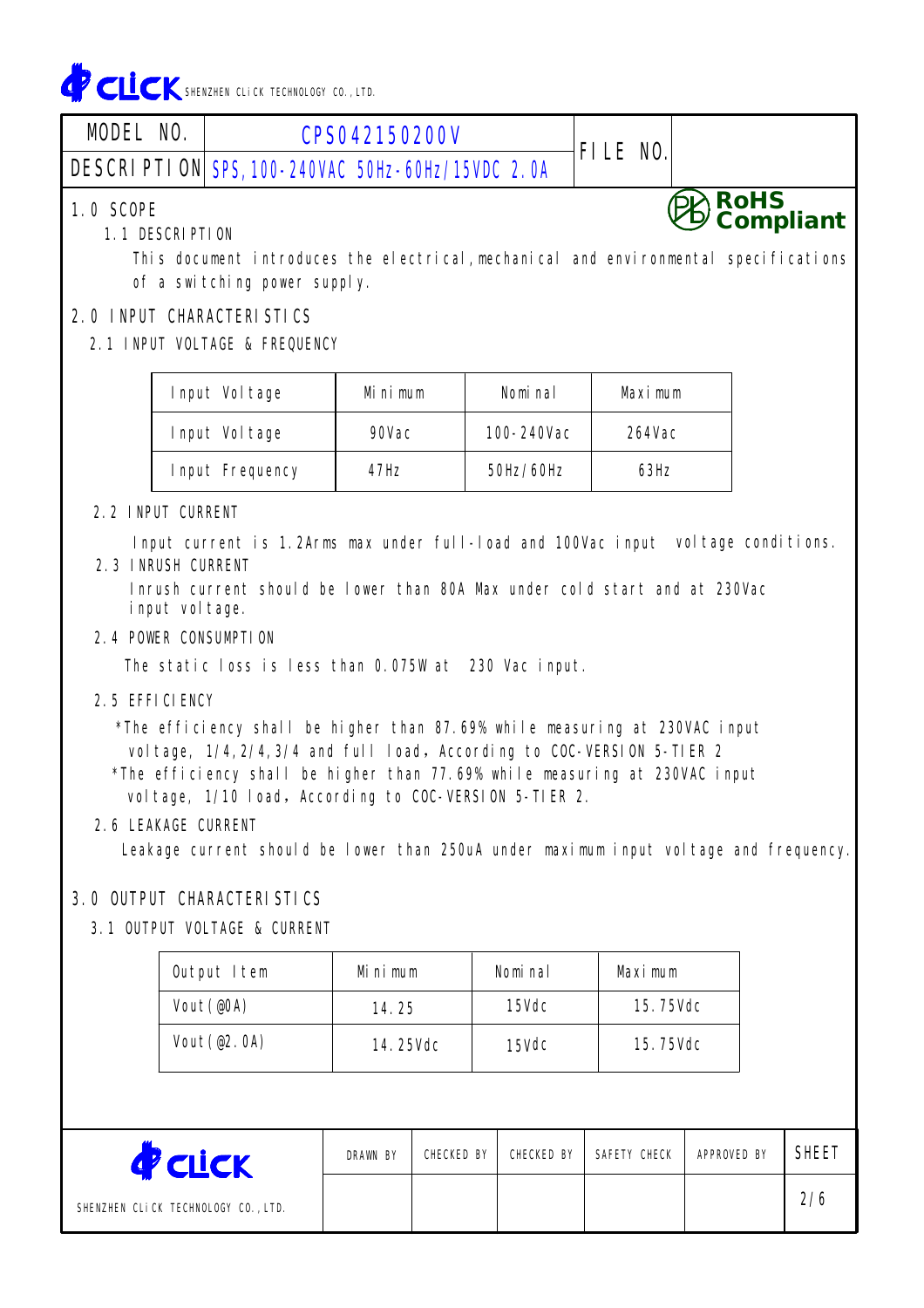

| <b>MODEL NO.</b>                    | <b>CPS042150200V</b>                             | <b>FILE NO.</b> |                             |
|-------------------------------------|--------------------------------------------------|-----------------|-----------------------------|
|                                     | DESCRIPTION SPS, 100-240VAC 50Hz-60Hz/15VDC 2.0A |                 |                             |
| <b>1.0 SCOPE</b><br>1 1 NECODIDTIAN |                                                  |                 | $\bigotimes$ RoHS compliant |

#### 1.1 DESCRIPTION

This document introduces the electrical,mechanical and environmental specifications of a switching power supply.

#### 2.0 INPUT CHARACTERISTICS

#### 2.1 INPUT VOLTAGE & FREQUENCY

| Input Voltage          | Mi n i mum | Nomi na I  | Maximum       |
|------------------------|------------|------------|---------------|
| Input Voltage          | 90Vac      | 100-240Vac | <b>264Vac</b> |
| <b>Input Frequency</b> | 47Hz       | 50Hz/60Hz  | 63Hz          |

#### 2.2 INPUT CURRENT

Input current is 1.2Arms max under full-load and 100Vac input voltage conditions. 2.3 INRUSH CURRENT

Inrush current should be lower than 80A Max under cold start and at 230Vac input voltage.

#### 2.4 POWER CONSUMPTION

The static loss is less than 0.075W at 230 Vac input.

#### 2.5 EFFICIENCY

\*The efficiency shall be higher than 87.69% while measuring at 230VAC input voltage, 1/4,2/4,3/4 and full load, According to COC-VERSION 5-TIER 2 \*The efficiency shall be higher than 77.69% while measuring at 230VAC input

voltage, 1/10 load, According to COC-VERSION 5-TIER 2.

#### 2.6 LEAKAGE CURRENT

Leakage current should be lower than 250uA under maximum input voltage and frequency.

#### 3.0 OUTPUT CHARACTERISTICS

#### 3.1 OUTPUT VOLTAGE & CURRENT

| <b>Output Item</b> | Mi n i mum      | Nomi na I    | Maximum         |
|--------------------|-----------------|--------------|-----------------|
| Vout (@OA)         | 14.25           | <b>15Vdc</b> | <b>15.75Vdc</b> |
| Vout(@2.0A)        | <b>14.25Vdc</b> | <b>15Vdc</b> | <b>15.75Vdc</b> |

| $\mathcal{C}$ CLICK                 | <b>DRAWN BY</b> | <b>CHECKED BY</b> | CHECKED BY | SAFETY CHECK | <b>APPROVED BY</b> | <b>SHEET</b> |
|-------------------------------------|-----------------|-------------------|------------|--------------|--------------------|--------------|
| SHENZHEN CLICK TECHNOLOGY CO., LTD. |                 |                   |            |              |                    | 2/6          |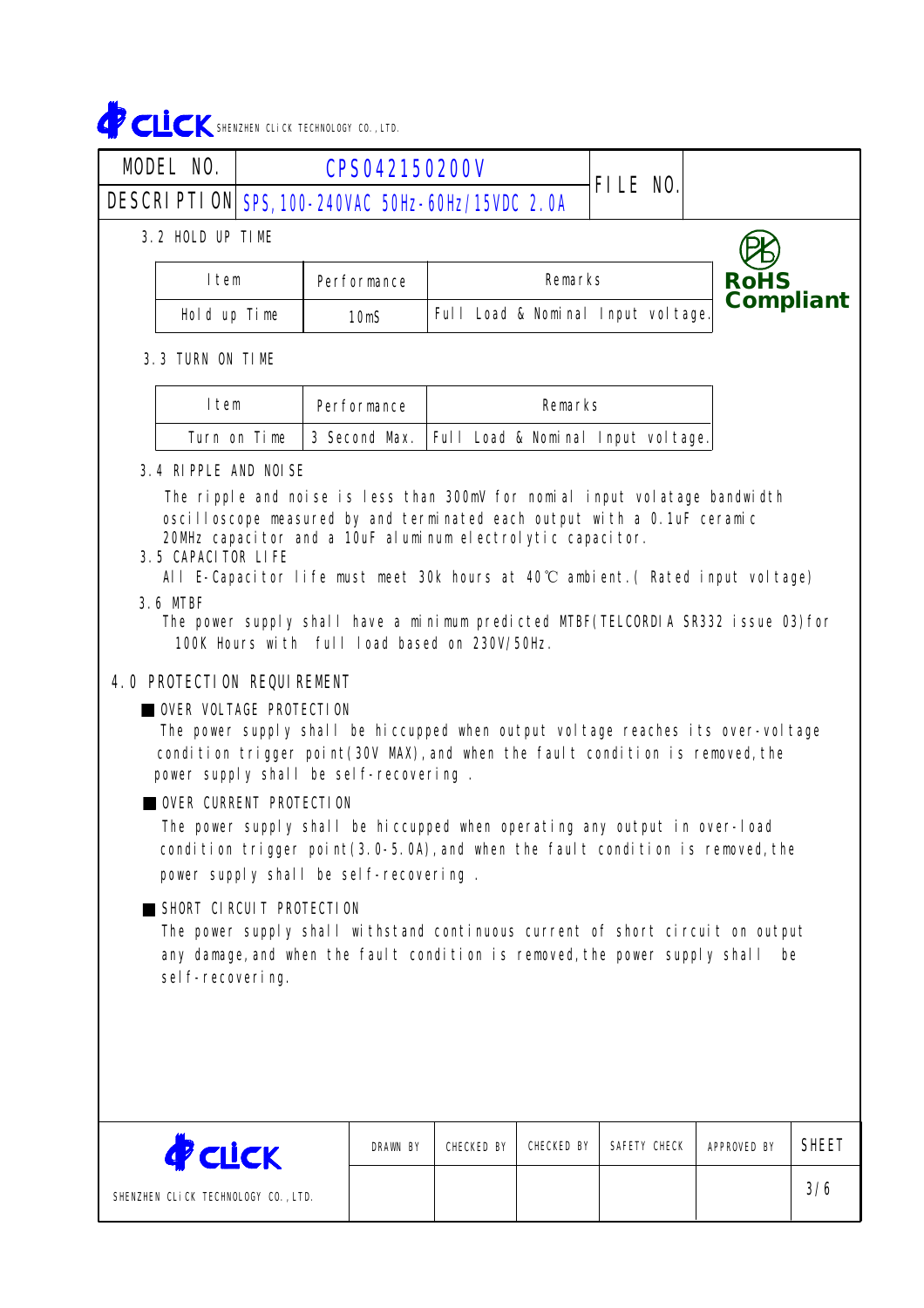# CLICK SHENZHEN CLICK TECHNOLOGY CO.,LTD.

| <b>MODEL NO.</b> |                                                                                                                                                                                                                                                                                                                                                                                                                                                                                                                                                                                                                                                                                                                                                                                                                                                                                                                                                                                                                                                                                                                                                                                                                                                                                             | <b>CPS042150200V</b>                             |                                    |                |                 |                    |              |  |
|------------------|---------------------------------------------------------------------------------------------------------------------------------------------------------------------------------------------------------------------------------------------------------------------------------------------------------------------------------------------------------------------------------------------------------------------------------------------------------------------------------------------------------------------------------------------------------------------------------------------------------------------------------------------------------------------------------------------------------------------------------------------------------------------------------------------------------------------------------------------------------------------------------------------------------------------------------------------------------------------------------------------------------------------------------------------------------------------------------------------------------------------------------------------------------------------------------------------------------------------------------------------------------------------------------------------|--------------------------------------------------|------------------------------------|----------------|-----------------|--------------------|--------------|--|
|                  |                                                                                                                                                                                                                                                                                                                                                                                                                                                                                                                                                                                                                                                                                                                                                                                                                                                                                                                                                                                                                                                                                                                                                                                                                                                                                             | DESCRIPTION SPS, 100-240VAC 50Hz-60Hz/15VDC 2.0A |                                    |                | <b>FILE NO.</b> |                    |              |  |
|                  | 3.2 HOLD UP TIME                                                                                                                                                                                                                                                                                                                                                                                                                                                                                                                                                                                                                                                                                                                                                                                                                                                                                                                                                                                                                                                                                                                                                                                                                                                                            |                                                  |                                    |                |                 |                    |              |  |
|                  | Item                                                                                                                                                                                                                                                                                                                                                                                                                                                                                                                                                                                                                                                                                                                                                                                                                                                                                                                                                                                                                                                                                                                                                                                                                                                                                        | <b>Performance</b>                               |                                    | <b>Remarks</b> |                 | <b>RoHS</b>        |              |  |
|                  | Hold up Time                                                                                                                                                                                                                                                                                                                                                                                                                                                                                                                                                                                                                                                                                                                                                                                                                                                                                                                                                                                                                                                                                                                                                                                                                                                                                | 10 <sub>m</sub> S                                | Full Load & Nominal Input voltage. |                | Compliant       |                    |              |  |
|                  | <b>3.3 TURN ON TIME</b>                                                                                                                                                                                                                                                                                                                                                                                                                                                                                                                                                                                                                                                                                                                                                                                                                                                                                                                                                                                                                                                                                                                                                                                                                                                                     |                                                  |                                    |                |                 |                    |              |  |
|                  | Item                                                                                                                                                                                                                                                                                                                                                                                                                                                                                                                                                                                                                                                                                                                                                                                                                                                                                                                                                                                                                                                                                                                                                                                                                                                                                        | <b>Performance</b>                               |                                    | <b>Remarks</b> |                 |                    |              |  |
|                  | Turn on Time                                                                                                                                                                                                                                                                                                                                                                                                                                                                                                                                                                                                                                                                                                                                                                                                                                                                                                                                                                                                                                                                                                                                                                                                                                                                                | 3 Second Max.                                    | Full Load & Nominal Input voltage. |                |                 |                    |              |  |
|                  | <b>3.4 RIPPLE AND NOISE</b><br>The ripple and noise is less than 300mV for nomial input volatage bandwidth<br>oscilloscope measured by and terminated each output with a 0.1uF ceramic<br>20MHz capacitor and a 10uF aluminum electrolytic capacitor.<br><b>3.5 CAPACITOR LIFE</b><br>All E-Capacitor life must meet 30k hours at $40^{\circ}$ ambient. (Rated input voltage)<br>3.6 MTBF<br>The power supply shall have a minimum predicted MTBF(TELCORDIA SR332 issue 03)for<br>100K Hours with full load based on 230V/50Hz.<br><b>4.0 PROTECTION REQUIREMENT</b><br><b>UNDER VOLTAGE PROTECTION</b><br>The power supply shall be hiccupped when output voltage reaches its over-voltage<br>condition trigger point(30V MAX), and when the fault condition is removed, the<br>power supply shall be self-recovering.<br><b>OVER CURRENT PROTECTION</b><br>The power supply shall be hiccupped when operating any output in over-load<br>condition trigger point(3.0-5.0A), and when the fault condition is removed, the<br>power supply shall be self-recovering.<br>SHORT CIRCUIT PROTECTION<br>The power supply shall withstand continuous current of short circuit on output<br>any damage, and when the fault condition is removed, the power supply shall<br>be<br>self-recovering. |                                                  |                                    |                |                 |                    |              |  |
|                  | <b>P</b> CLICK                                                                                                                                                                                                                                                                                                                                                                                                                                                                                                                                                                                                                                                                                                                                                                                                                                                                                                                                                                                                                                                                                                                                                                                                                                                                              | <b>DRAWN BY</b>                                  | <b>CHECKED BY</b>                  | CHECKED BY     | SAFETY CHECK    | <b>APPROVED BY</b> | <b>SHEET</b> |  |
|                  | CUENTUEN AL:AV TEAUNALAAV AA                                                                                                                                                                                                                                                                                                                                                                                                                                                                                                                                                                                                                                                                                                                                                                                                                                                                                                                                                                                                                                                                                                                                                                                                                                                                |                                                  |                                    |                |                 |                    | 3/6          |  |

SHENZHEN CLiCK TECHNOLOGY CO.,LTD.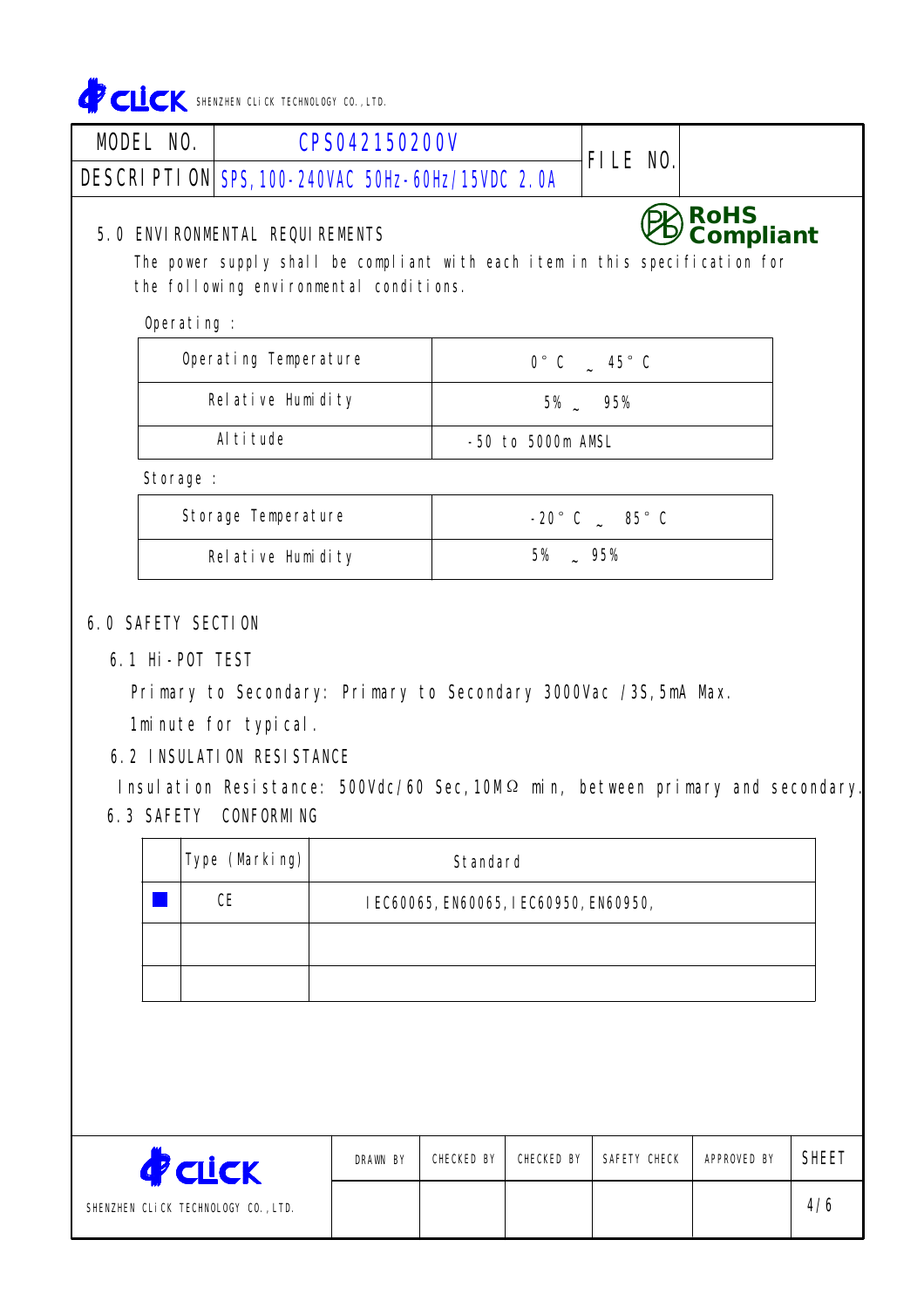

| <b>MODEL NO.</b> | <b>CPS042150200V</b>                                                                                                    |                   |                             | <b>FILE NO.</b> |                          |  |
|------------------|-------------------------------------------------------------------------------------------------------------------------|-------------------|-----------------------------|-----------------|--------------------------|--|
|                  | DESCRIPTION SPS, 100-240VAC 50Hz-60Hz/15VDC 2.0A                                                                        |                   |                             |                 |                          |  |
|                  | <b>5.0 ENVIRONMENTAL REQUIREMENTS</b>                                                                                   |                   |                             |                 | <b>RoHS</b><br>Compliant |  |
|                  | The power supply shall be compliant with each item in this specification for<br>the following environmental conditions. |                   |                             |                 |                          |  |
| Operating :      |                                                                                                                         |                   |                             |                 |                          |  |
|                  | <b>Operating Temperature</b><br>$0^\circ$ C $\phantom{0}$ 45° C                                                         |                   |                             |                 |                          |  |
|                  | Relative Humidity<br><b>5% 95%</b>                                                                                      |                   |                             |                 |                          |  |
|                  | Altitude                                                                                                                | -50 to 5000m AMSL |                             |                 |                          |  |
| Storage :        |                                                                                                                         |                   |                             |                 |                          |  |
|                  | <b>Storage Temperature</b>                                                                                              |                   | $-20^\circ$ C $-85^\circ$ C |                 |                          |  |
|                  | Relative Humidity                                                                                                       |                   |                             |                 |                          |  |

6.1 Hi-POT TEST

Primary to Secondary: Primary to Secondary 3000Vac /3S,5mA Max. 1minute for typical.

6.2 INSULATION RESISTANCE

Insulation Resistance: 500Vdc/60 Sec,10MΩ min, between primary and secondary 6.3 SAFETY CONFORMING

| <b>Type (Marking)</b> | <b>Standard</b>                       |
|-----------------------|---------------------------------------|
| СE                    | IEC60065, EN60065, IEC60950, EN60950, |
|                       |                                       |
|                       |                                       |

| <b>CLICK</b>                        | <b>DRAWN BY</b> | CHECKED BY | CHECKED BY | SAFETY CHECK | <b>APPROVED BY</b> | <b>SHEET</b> |
|-------------------------------------|-----------------|------------|------------|--------------|--------------------|--------------|
| SHENZHEN CLICK TECHNOLOGY CO., LTD. |                 |            |            |              |                    | 4/6          |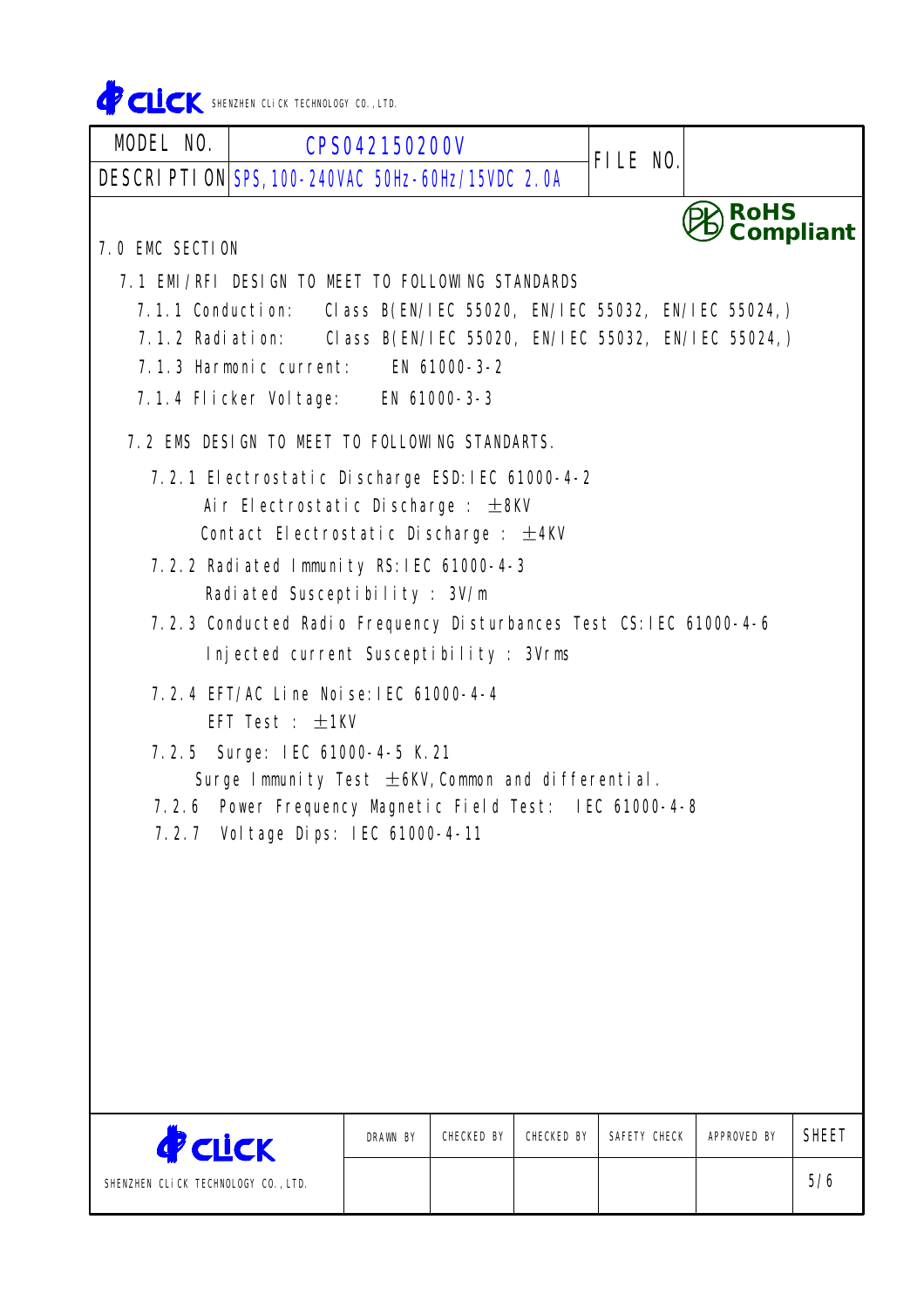CLICK SHENZHEN CLICK TECHNOLOGY CO., LTD.

SHENZHEN CLiCK TECHNOLOGY CO.,LTD.

**CLICK** 

| <b>MODEL NO.  </b>                                                  | <b>CPS042150200V</b>                                                 |                 |                          |  |  |  |  |
|---------------------------------------------------------------------|----------------------------------------------------------------------|-----------------|--------------------------|--|--|--|--|
|                                                                     | DESCRIPTION SPS, 100-240VAC 50Hz-60Hz/15VDC 2.0A                     | <b>FILE NO.</b> |                          |  |  |  |  |
| <b>7.0 EMC SECTION</b>                                              |                                                                      |                 | <b>RoHS</b><br>Compliant |  |  |  |  |
|                                                                     | <b>7.1 EMI/RFI DESIGN TO NEET TO FOLLOWING STANDARDS</b>             |                 |                          |  |  |  |  |
|                                                                     | 7.1.1 Conduction: Class B(EN/IEC 55020, EN/IEC 55032, EN/IEC 55024,) |                 |                          |  |  |  |  |
| 7.1.2 Radiation: Class B(EN/IEC 55020, EN/IEC 55032, EN/IEC 55024,) |                                                                      |                 |                          |  |  |  |  |
|                                                                     | 7.1.3 Harmonic current: EN 61000-3-2                                 |                 |                          |  |  |  |  |
|                                                                     | 7.1.4 Flicker Voltage: EN 61000-3-3                                  |                 |                          |  |  |  |  |
|                                                                     | 7.2 EMS DESIGN TO MEET TO FOLLOWING STANDARTS.                       |                 |                          |  |  |  |  |
|                                                                     | 7.2.1 Electrostatic Discharge ESD: IEC 61000-4-2                     |                 |                          |  |  |  |  |
|                                                                     | Air Electrostatic Discharge : $\pm$ 8KV                              |                 |                          |  |  |  |  |
|                                                                     | Contact Electrostatic Discharge : $\pm$ 4KV                          |                 |                          |  |  |  |  |
|                                                                     | 7.2.2 Radiated Immunity RS: IEC 61000-4-3                            |                 |                          |  |  |  |  |
|                                                                     | Radiated Susceptibility : 3V/m                                       |                 |                          |  |  |  |  |
|                                                                     | 7.2.3 Conducted Radio Frequency Disturbances Test CS: IEC 61000-4-6  |                 |                          |  |  |  |  |
|                                                                     | Injected current Susceptibility : 3Vrms                              |                 |                          |  |  |  |  |
|                                                                     | 7.2.4 EFT/AC Line Noise: IEC 61000-4-4                               |                 |                          |  |  |  |  |
|                                                                     | EFT Test : $+1$ KV                                                   |                 |                          |  |  |  |  |
|                                                                     | 7.2.5 Surge: IEC 61000-4-5 K.21                                      |                 |                          |  |  |  |  |
|                                                                     | Surge Immunity Test $\pm$ 6KV, Common and differential.              |                 |                          |  |  |  |  |
|                                                                     | 7.2.6 Power Frequency Magnetic Field Test: IEC 61000-4-8             |                 |                          |  |  |  |  |
|                                                                     | 7.2.7 Voltage Dips: IEC 61000-4-11                                   |                 |                          |  |  |  |  |
|                                                                     |                                                                      |                 |                          |  |  |  |  |
|                                                                     |                                                                      |                 |                          |  |  |  |  |
|                                                                     |                                                                      |                 |                          |  |  |  |  |
|                                                                     |                                                                      |                 |                          |  |  |  |  |
|                                                                     |                                                                      |                 |                          |  |  |  |  |
|                                                                     |                                                                      |                 |                          |  |  |  |  |
|                                                                     |                                                                      |                 |                          |  |  |  |  |
|                                                                     |                                                                      |                 |                          |  |  |  |  |

CHECKED BY

DRAWN BY GHECKED BY CHECKED BY SAFETY CHECK APPROVED BY SHEET

5/6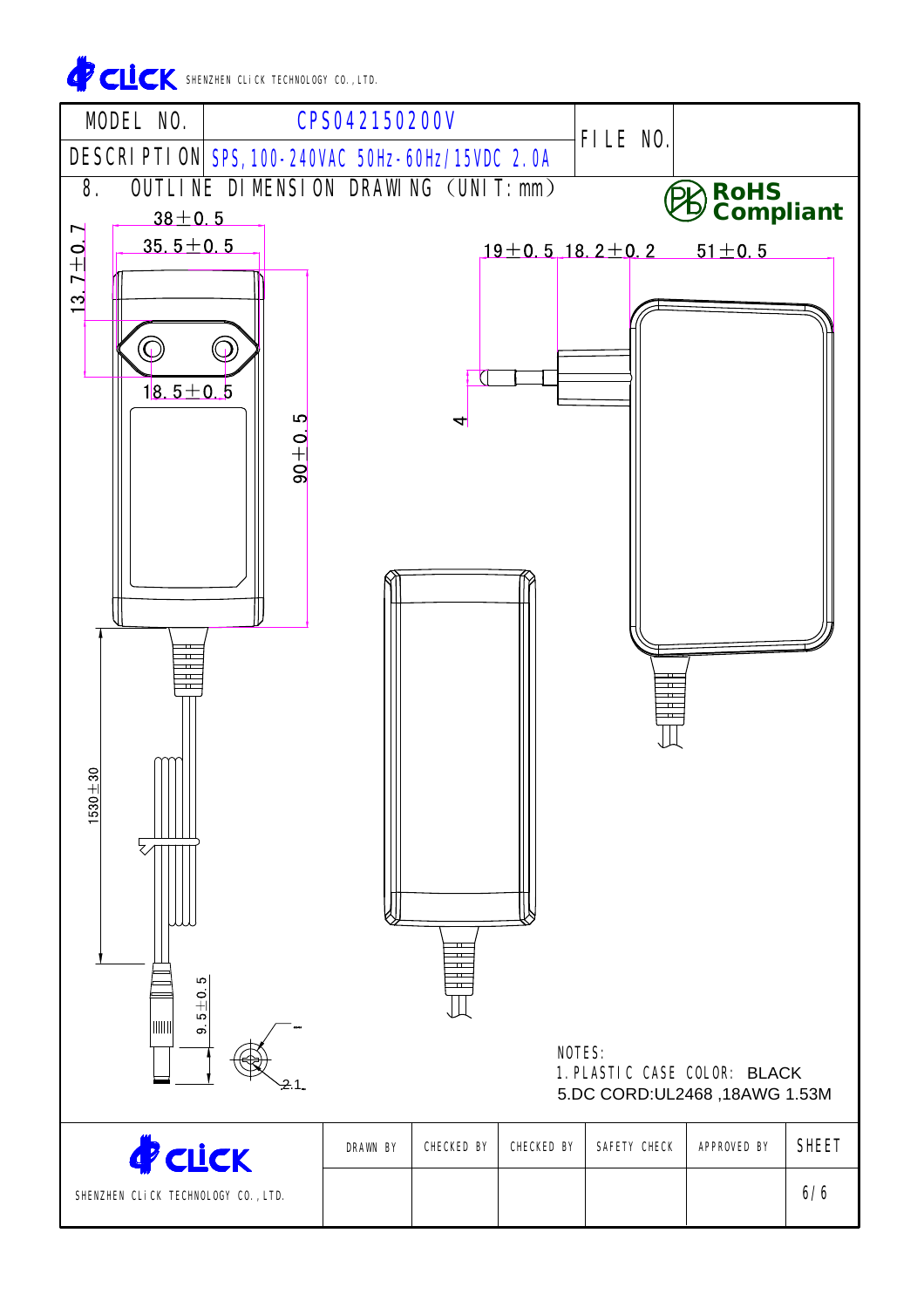**CLICK** SHENZHEN CLICK TECHNOLOGY CO., LTD.

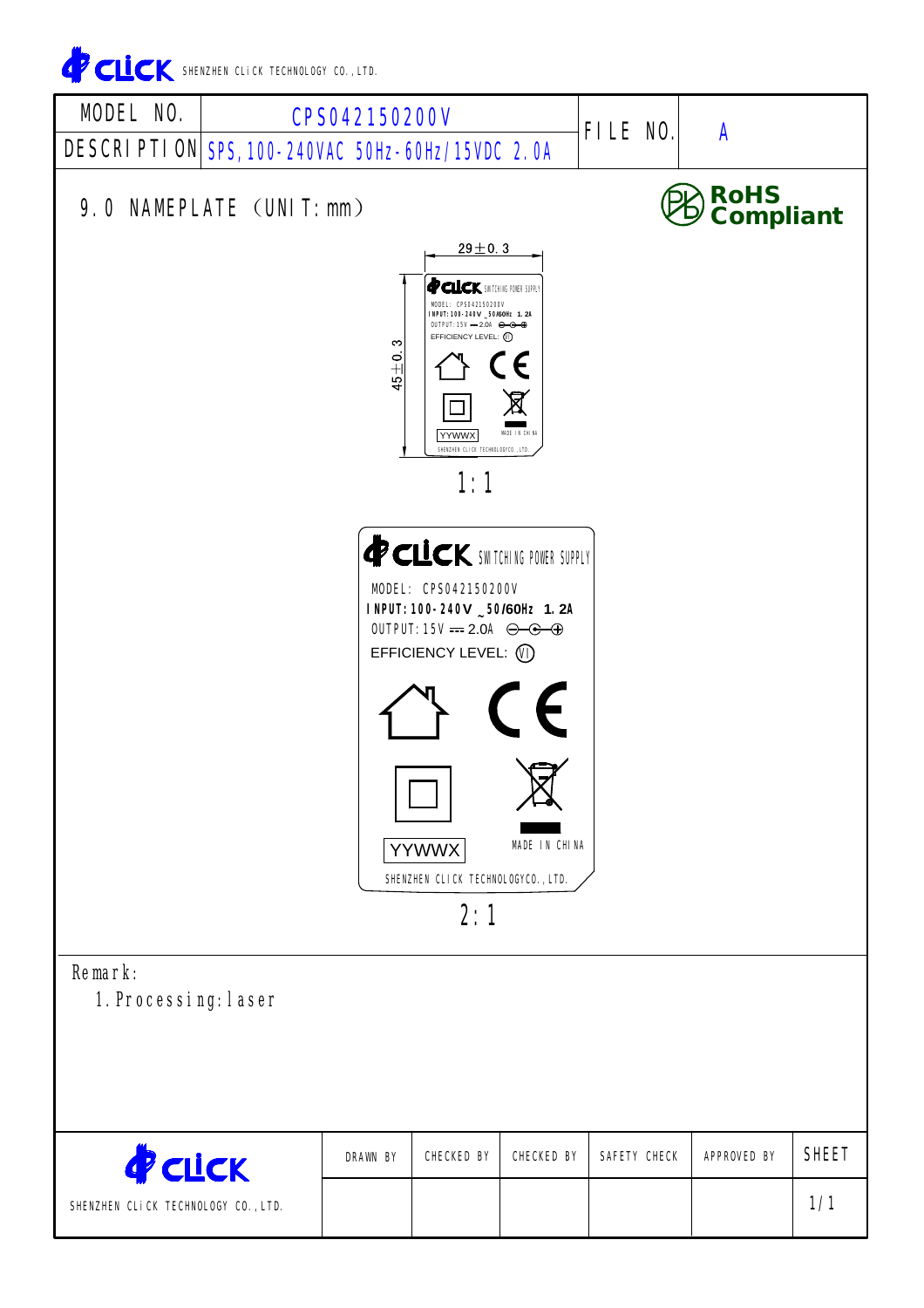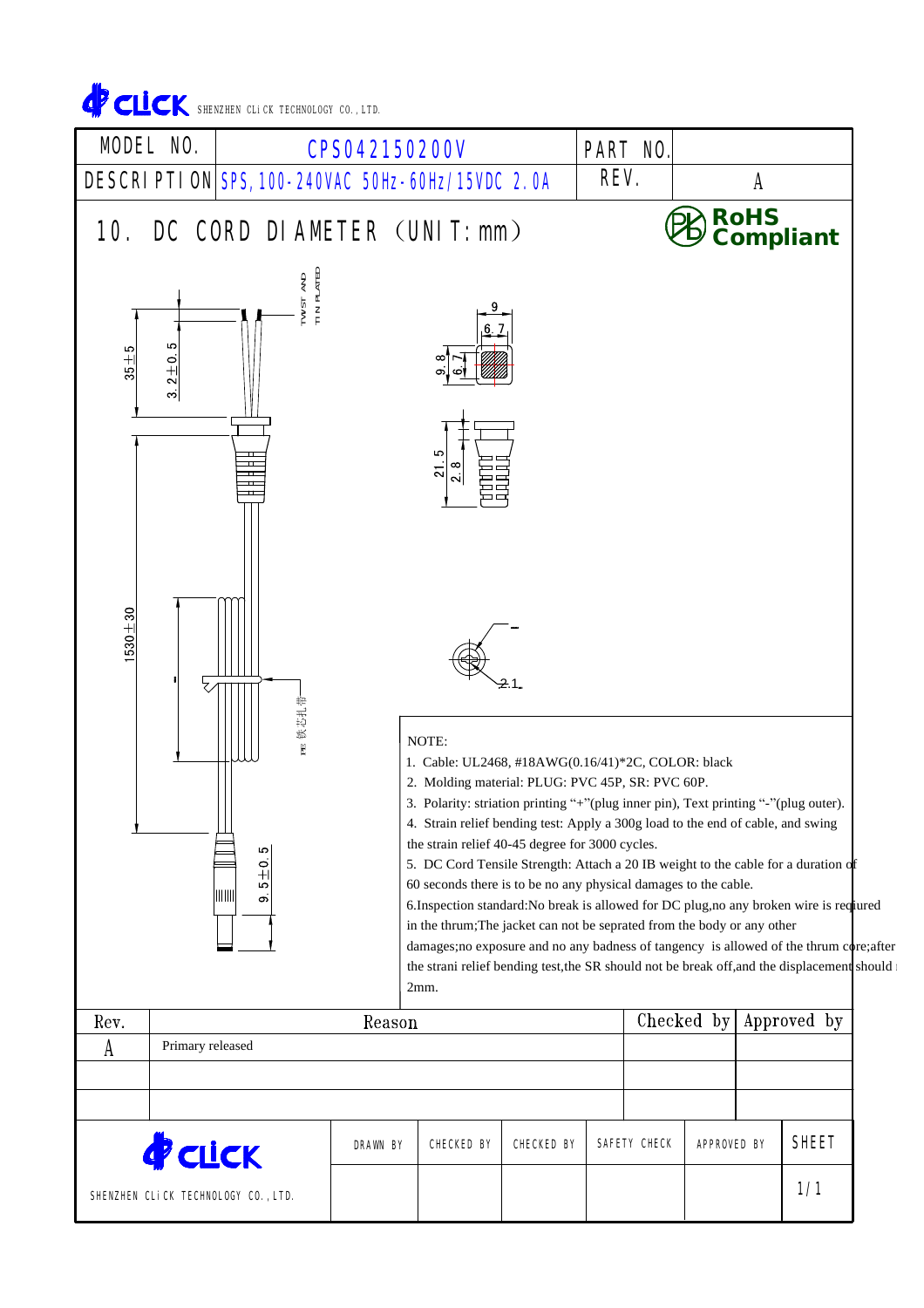

| <b>P</b> CLICK                      | <b>DRAWN BY</b> | <b>CHECKED BY</b> | <b>CHECKED BY</b> | SAFETY CHECK | <b>APPROVED BY</b> | <b>SHEET</b> |  |
|-------------------------------------|-----------------|-------------------|-------------------|--------------|--------------------|--------------|--|
| SHENZHEN CLICK TECHNOLOGY CO., LTD. |                 |                   |                   |              |                    | 1/1          |  |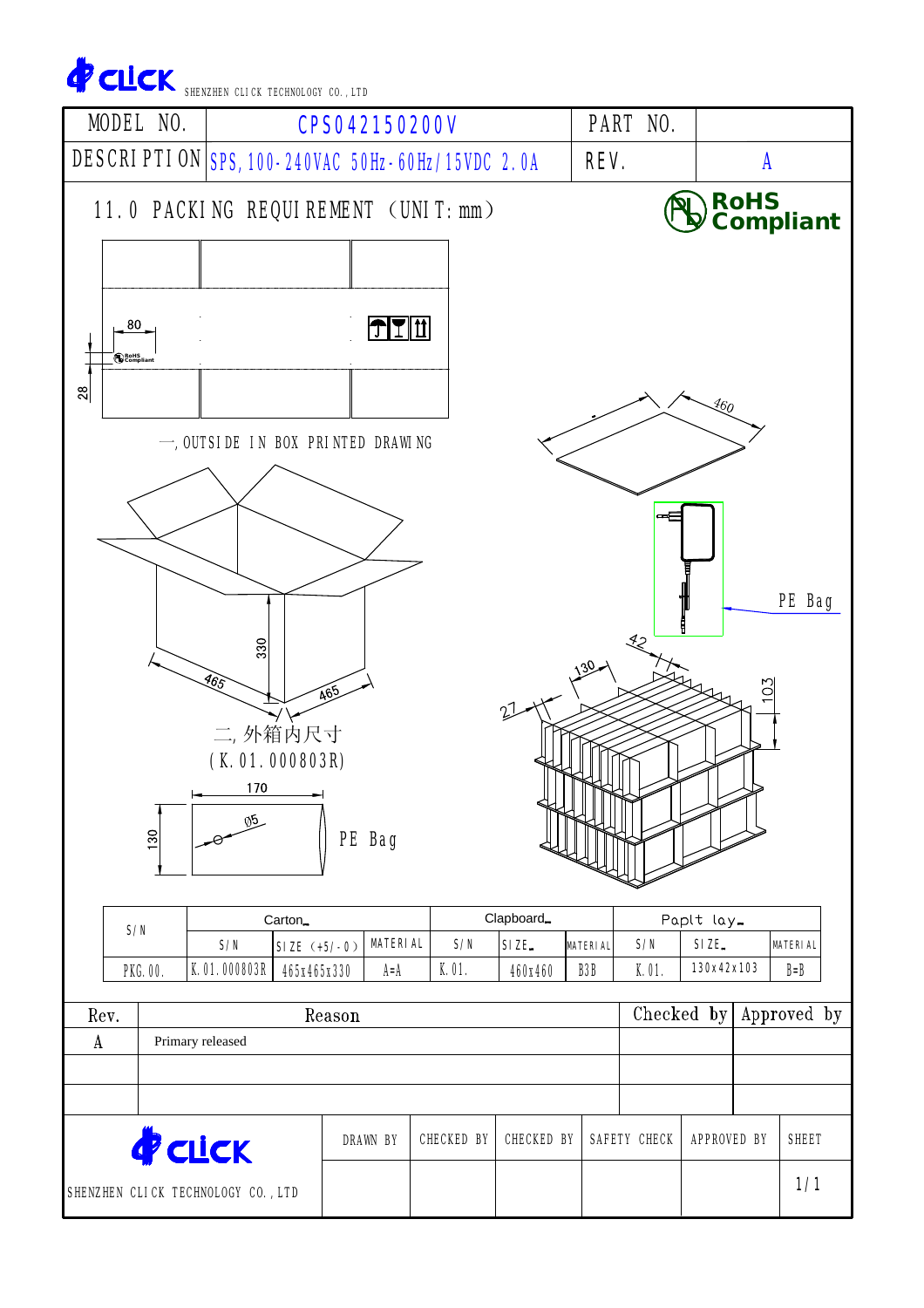| CLCK SHENZHEN CLICK TECHNOLOGY CO., LTD<br><b>MODEL NO.</b> |                            |                     |                                                  | <b>CPS042150200V</b>   |              |                  |                                     | <b>PART NO.</b> |                     |     |                          |  |
|-------------------------------------------------------------|----------------------------|---------------------|--------------------------------------------------|------------------------|--------------|------------------|-------------------------------------|-----------------|---------------------|-----|--------------------------|--|
|                                                             |                            |                     | DESCRIPTION SPS, 100-240VAC 50Hz-60Hz/15VDC 2.0A |                        |              |                  |                                     | REV.            |                     | A   |                          |  |
|                                                             |                            |                     | 11.0 PACKING REQUIREMENT (UNIT:mm)               |                        |              |                  |                                     |                 |                     |     | RoHS<br>Compliant        |  |
| 80<br>RoHS<br><b>B</b> Compliar<br>28                       |                            |                     |                                                  | $T$ $T$ $\overline{r}$ |              |                  |                                     |                 |                     |     |                          |  |
|                                                             |                            |                     | $-$ , outside in box printed drawing             |                        |              |                  |                                     |                 | $\mathcal{A}_{60}$  |     |                          |  |
|                                                             |                            |                     |                                                  |                        |              |                  |                                     |                 |                     |     |                          |  |
|                                                             |                            | 330                 |                                                  |                        |              |                  |                                     | 42              |                     |     | PE Bag                   |  |
|                                                             |                            | 465<br>170          | 465<br>二,外箱内尺寸<br>(K.01.000803R)                 |                        |              |                  |                                     |                 |                     | 103 |                          |  |
|                                                             | 130                        | $\sqrt{5}$          |                                                  | PE Bag                 |              |                  |                                     |                 |                     |     |                          |  |
| S/N                                                         |                            |                     | Carton <sub>-</sub>                              |                        |              | Clapboard_       |                                     |                 | Paplt lay-          |     |                          |  |
| <b>PKG.00.</b>                                              |                            | S/N<br>K.01.000803R | $SIZE (+5/-0)$<br>465x465x330                    | <b>MATERIAL</b><br>A=A | S/N<br>K.01. | SIZE.<br>460x460 | <b>MATERIAL</b><br>B <sub>3</sub> B | S/N<br>K.01.    | SIZE.<br>130x42x103 |     | <b>MATERIAL</b><br>$B=B$ |  |
|                                                             |                            |                     |                                                  |                        |              |                  |                                     |                 |                     |     |                          |  |
| Rev.<br>$\boldsymbol{A}$                                    | Reason<br>Primary released |                     |                                                  |                        |              |                  |                                     | Checked by      |                     |     | Approved by              |  |
|                                                             |                            |                     |                                                  |                        |              |                  |                                     |                 |                     |     |                          |  |
|                                                             |                            |                     |                                                  |                        |              |                  |                                     |                 |                     |     |                          |  |
|                                                             |                            |                     |                                                  |                        |              |                  |                                     |                 |                     |     |                          |  |

SHENZHEN CLICK TECHNOLOGY CO.,LTD

1/1